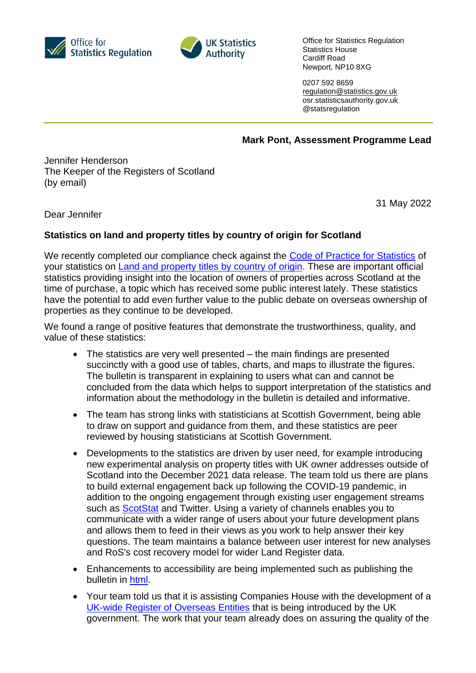



Office for Statistics Regulation Statistics House Cardiff Road Newport, NP10 8XG

0207 592 8659 [regulation@statistics.gov.uk](mailto:E:%E2%80%82regulation@statistics.gov.uk) osr.statisticsauthority.gov.uk @statsregulation

**Mark Pont, Assessment Programme Lead**

Jennifer Henderson The Keeper of the Registers of Scotland (by email)

31 May 2022

Dear Jennifer

## **Statistics on land and property titles by country of origin for Scotland**

We recently completed our compliance check against the [Code of Practice for Statistics](https://code.statisticsauthority.gov.uk/) of your statistics on [Land and property titles by country of](https://www.ros.gov.uk/data-and-statistics/land-and-property-titles-by-country-of-origin/country-of-origin-company-report) origin. These are important official statistics providing insight into the location of owners of properties across Scotland at the time of purchase, a topic which has received some public interest lately. These statistics have the potential to add even further value to the public debate on overseas ownership of properties as they continue to be developed.

We found a range of positive features that demonstrate the trustworthiness, quality, and value of these statistics:

- The statistics are very well presented the main findings are presented succinctly with a good use of tables, charts, and maps to illustrate the figures. The bulletin is transparent in explaining to users what can and cannot be concluded from the data which helps to support interpretation of the statistics and information about the methodology in the bulletin is detailed and informative.
- The team has strong links with statisticians at Scottish Government, being able to draw on support and guidance from them, and these statistics are peer reviewed by housing statisticians at Scottish Government.
- Developments to the statistics are driven by user need, for example introducing new experimental analysis on property titles with UK owner addresses outside of Scotland into the December 2021 data release. The team told us there are plans to build external engagement back up following the COVID-19 pandemic, in addition to the ongoing engagement through existing user engagement streams such as [ScotStat](https://www.gov.scot/publications/scotstat-register-guidance/) and Twitter. Using a variety of channels enables you to communicate with a wider range of users about your future development plans and allows them to feed in their views as you work to help answer their key questions. The team maintains a balance between user interest for new analyses and RoS's cost recovery model for wider Land Register data.
- Enhancements to accessibility are being implemented such as publishing the bulletin in [html.](https://www.ros.gov.uk/data-and-statistics/land-and-property-titles-by-country-of-origin/march-2022-report/information-about-this-release)
- Your team told us that it is assisting Companies House with the development of a [UK-wide Register of Overseas Entities](https://www.gov.uk/government/publications/economic-crime-transparency-and-enforcement-bill-2022-overarching-documents/factsheet-the-register-of-overseas-entities-web-accessible) that is being introduced by the UK government. The work that your team already does on assuring the quality of the